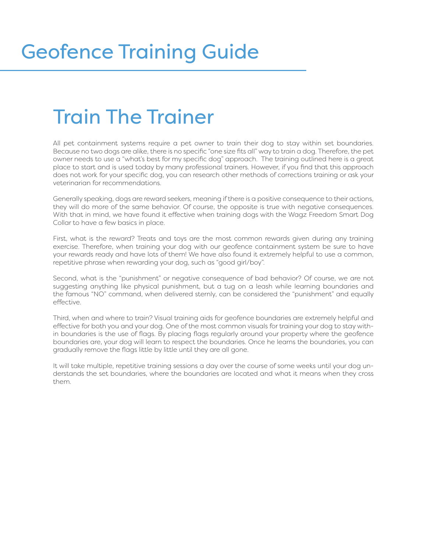## Train The Trainer

All pet containment systems require a pet owner to train their dog to stay within set boundaries. Because no two dogs are alike, there is no specific "one size fits all" way to train a dog. Therefore, the pet owner needs to use a "what's best for my specific dog" approach. The training outlined here is a great place to start and is used today by many professional trainers. However, if you find that this approach does not work for your specific dog, you can research other methods of corrections training or ask your veterinarian for recommendations.

Generally speaking, dogs are reward seekers, meaning if there is a positive consequence to their actions, they will do more of the same behavior. Of course, the opposite is true with negative consequences. With that in mind, we have found it effective when training dogs with the Wagz Freedom Smart Dog Collar to have a few basics in place.

First, what is the reward? Treats and toys are the most common rewards given during any training exercise. Therefore, when training your dog with our geofence containment system be sure to have your rewards ready and have lots of them! We have also found it extremely helpful to use a common, repetitive phrase when rewarding your dog, such as "good girl/boy".

Second, what is the "punishment" or negative consequence of bad behavior? Of course, we are not suggesting anything like physical punishment, but a tug on a leash while learning boundaries and the famous "NO" command, when delivered sternly, can be considered the "punishment" and equally effective.

Third, when and where to train? Visual training aids for geofence boundaries are extremely helpful and effective for both you and your dog. One of the most common visuals for training your dog to stay within boundaries is the use of flags. By placing flags regularly around your property where the geofence boundaries are, your dog will learn to respect the boundaries. Once he learns the boundaries, you can gradually remove the flags little by little until they are all gone.

It will take multiple, repetitive training sessions a day over the course of some weeks until your dog understands the set boundaries, where the boundaries are located and what it means when they cross them.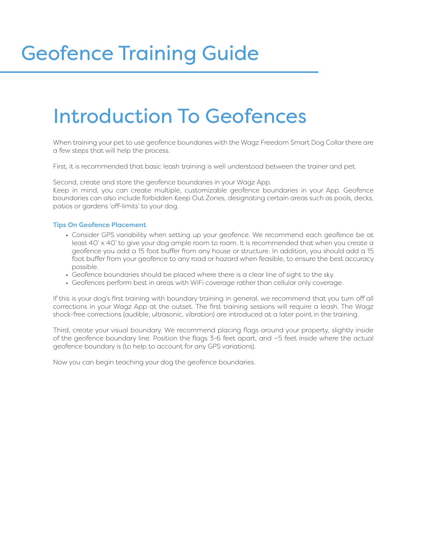## Geofence Training Guide

## Introduction To Geofences

When training your pet to use geofence boundaries with the Wagz Freedom Smart Dog Collar there are a few steps that will help the process.

First, it is recommended that basic leash training is well understood between the trainer and pet.

Second, create and store the geofence boundaries in your Wagz App.

Keep in mind, you can create multiple, customizable geofence boundaries in your App. Geofence boundaries can also include forbidden Keep Out Zones, designating certain areas such as pools, decks, patios or gardens 'off-limits' to your dog.

#### Tips On Geofence Placement

- Consider GPS variability when setting up your geofence. We recommend each geofence be at least 40' x 40' to give your dog ample room to roam. It is recommended that when you create a geofence you add a 15 foot buffer from any house or structure. In addition, you should add a 15 foot buffer from your geofence to any road or hazard when feasible, to ensure the best accuracy possible.
- Geofence boundaries should be placed where there is a clear line of sight to the sky.
- Geofences perform best in areas with WiFi coverage rather than cellular only coverage.

If this is your dog's first training with boundary training in general, we recommend that you turn off all corrections in your Wagz App at the outset. The first training sessions will require a leash. The Wagz shock-free corrections (audible, ultrasonic, vibration) are introduced at a later point in the training.

Third, create your visual boundary. We recommend placing flags around your property, slightly inside of the geofence boundary line. Position the flags 3-6 feet apart, and ~5 feet inside where the actual geofence boundary is (to help to account for any GPS variations).

Now you can begin teaching your dog the geofence boundaries.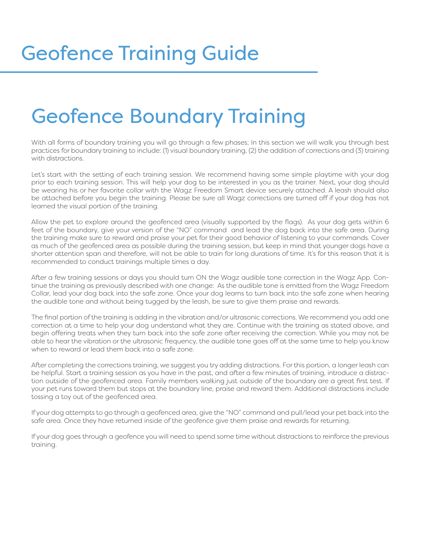## Geofence Boundary Training

With all forms of boundary training you will go through a few phases; In this section we will walk you through best practices for boundary training to include: (1) visual boundary training, (2) the addition of corrections and (3) training with distractions.

Let's start with the setting of each training session. We recommend having some simple playtime with your dog prior to each training session. This will help your dog to be interested in you as the trainer. Next, your dog should be wearing his or her favorite collar with the Wagz Freedom Smart device securely attached. A leash should also be attached before you begin the training. Please be sure all Wagz corrections are turned off if your dog has not learned the visual portion of the training.

Allow the pet to explore around the geofenced area (visually supported by the flags). As your dog gets within 6 feet of the boundary, give your version of the "NO" command and lead the dog back into the safe area. During the training make sure to reward and praise your pet for their good behavior of listening to your commands. Cover as much of the geofenced area as possible during the training session, but keep in mind that younger dogs have a shorter attention span and therefore, will not be able to train for long durations of time. It's for this reason that it is recommended to conduct trainings multiple times a day.

After a few training sessions or days you should turn ON the Wagz audible tone correction in the Wagz App. Continue the training as previously described with one change: As the audible tone is emitted from the Wagz Freedom Collar, lead your dog back into the safe zone. Once your dog learns to turn back into the safe zone when hearing the audible tone and without being tugged by the leash, be sure to give them praise and rewards.

The final portion of the training is adding in the vibration and/or ultrasonic corrections. We recommend you add one correction at a time to help your dog understand what they are. Continue with the training as stated above, and begin offering treats when they turn back into the safe zone after receiving the correction. While you may not be able to hear the vibration or the ultrasonic frequency, the audible tone goes off at the same time to help you know when to reward or lead them back into a safe zone.

After completing the corrections training, we suggest you try adding distractions. For this portion, a longer leash can be helpful. Start a training session as you have in the past, and after a few minutes of training, introduce a distraction outside of the geofenced area. Family members walking just outside of the boundary are a great first test. If your pet runs toward them but stops at the boundary line, praise and reward them. Additional distractions include tossing a toy out of the geofenced area.

If your dog attempts to go through a geofenced area, give the "NO" command and pull/lead your pet back into the safe area. Once they have returned inside of the geofence give them praise and rewards for returning.

If your dog goes through a geofence you will need to spend some time without distractions to reinforce the previous training.